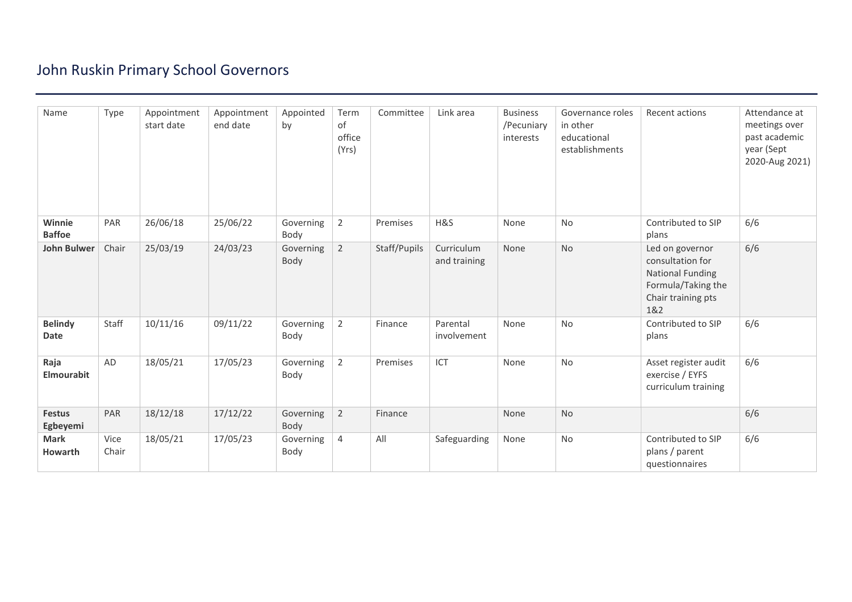## John Ruskin Primary School Governors

| Name                      | Type          | Appointment<br>start date | Appointment<br>end date | Appointed<br>by   | Term<br>of<br>office<br>(Yrs) | Committee    | Link area                  | <b>Business</b><br>/Pecuniary<br>interests | Governance roles<br>in other<br>educational<br>establishments | Recent actions                                                                                                    | Attendance at<br>meetings over<br>past academic<br>year (Sept<br>2020-Aug 2021) |
|---------------------------|---------------|---------------------------|-------------------------|-------------------|-------------------------------|--------------|----------------------------|--------------------------------------------|---------------------------------------------------------------|-------------------------------------------------------------------------------------------------------------------|---------------------------------------------------------------------------------|
| Winnie<br><b>Baffoe</b>   | PAR           | 26/06/18                  | 25/06/22                | Governing<br>Body | $\overline{2}$                | Premises     | H&S                        | None                                       | No                                                            | Contributed to SIP<br>plans                                                                                       | 6/6                                                                             |
| <b>John Bulwer</b>        | Chair         | 25/03/19                  | 24/03/23                | Governing<br>Body | $\overline{2}$                | Staff/Pupils | Curriculum<br>and training | None                                       | <b>No</b>                                                     | Led on governor<br>consultation for<br><b>National Funding</b><br>Formula/Taking the<br>Chair training pts<br>1&2 | 6/6                                                                             |
| <b>Belindy</b><br>Date    | Staff         | 10/11/16                  | 09/11/22                | Governing<br>Body | $\overline{2}$                | Finance      | Parental<br>involvement    | None                                       | No                                                            | Contributed to SIP<br>plans                                                                                       | 6/6                                                                             |
| Raja<br>Elmourabit        | AD            | 18/05/21                  | 17/05/23                | Governing<br>Body | $\overline{2}$                | Premises     | ICT                        | None                                       | No                                                            | Asset register audit<br>exercise / EYFS<br>curriculum training                                                    | 6/6                                                                             |
| <b>Festus</b><br>Egbeyemi | PAR           | 18/12/18                  | 17/12/22                | Governing<br>Body | $\overline{2}$                | Finance      |                            | None                                       | No                                                            |                                                                                                                   | 6/6                                                                             |
| <b>Mark</b><br>Howarth    | Vice<br>Chair | 18/05/21                  | 17/05/23                | Governing<br>Body | 4                             | All          | Safeguarding               | None                                       | No                                                            | Contributed to SIP<br>plans / parent<br>questionnaires                                                            | 6/6                                                                             |